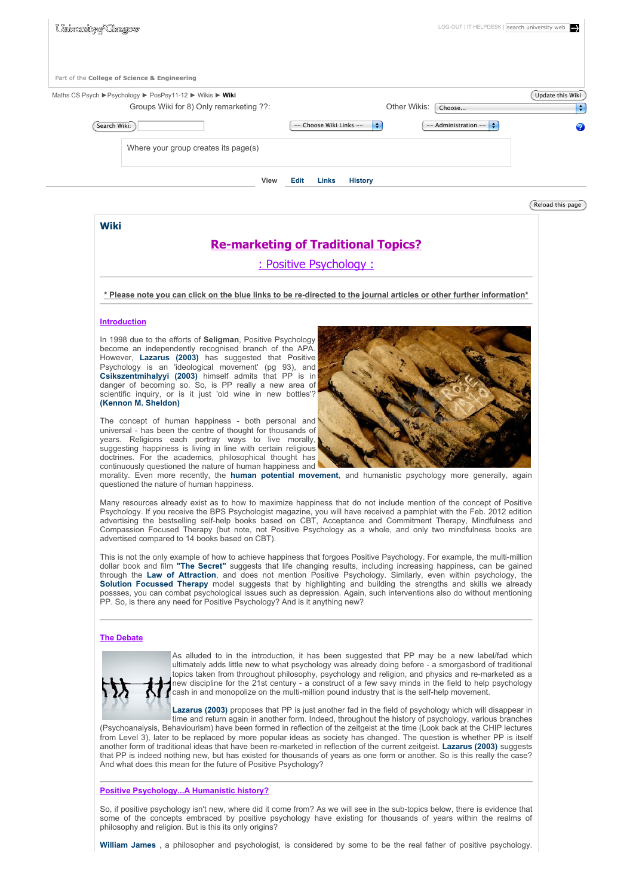

Psychology. If you receive the BPS Psychologist magazine, you will have received a pamphlet with the Feb. 2012 edition advertising the bestselling self-help books based on CBT, Acceptance and Commitment Therapy, Mindfulness and Compassion Focused Therapy (but note, not Positive Psychology as a whole, and only two mindfulness books are advertised compared to 14 books based on CBT).

This is not the only example of how to achieve happiness that forgoes Positive Psychology. For example, the multi-million dollar book and film **"The Secret"** suggests that life changing results, including increasing happiness, can be gained through the **Law of Attraction**, and does not mention Positive Psychology. Similarly, even within psychology, the **Solution Focussed Therapy** model suggests that by highlighting and building the strengths and skills we already possses, you can combat psychological issues such as depression. Again, such interventions also do without mentioning PP. So, is there any need for Positive Psychology? And is it anything new?

### **The Debate**



As alluded to in the introduction, it has been suggested that PP may be a new label/fad which ultimately adds little new to what psychology was already doing before - a smorgasbord of traditional topics taken from throughout philosophy, psychology and religion, and physics and re-marketed as a new discipline for the 21st century - a construct of a few savy minds in the field to help psychology cash in and monopolize on the multi-million pound industry that is the self-help movement.

**Lazarus (2003)** proposes that PP is just another fad in the field of psychology which will disappear in time and return again in another form. Indeed, throughout the history of psychology, various branches (Psychoanalysis, Behaviourism) have been formed in reflection of the zeitgeist at the time (Look back at the CHIP lectures from Level 3), later to be replaced by more popular ideas as society has changed. The question is whether PP is itself another form of traditional ideas that have been re-marketed in reflection of the current zeitgeist. **Lazarus (2003)** suggests that PP is indeed nothing new, but has existed for thousands of years as one form or another. So is this really the case? And what does this mean for the future of Positive Psychology?

### **Positive Psychology...A Humanistic history?**

So, if positive psychology isn't new, where did it come from? As we will see in the sub-topics below, there is evidence that some of the concepts embraced by positive psychology have existing for thousands of years within the realms of philosophy and religion. But is this its only origins?

**William James** , a philosopher and psychologist, is considered by some to be the real father of positive psychology.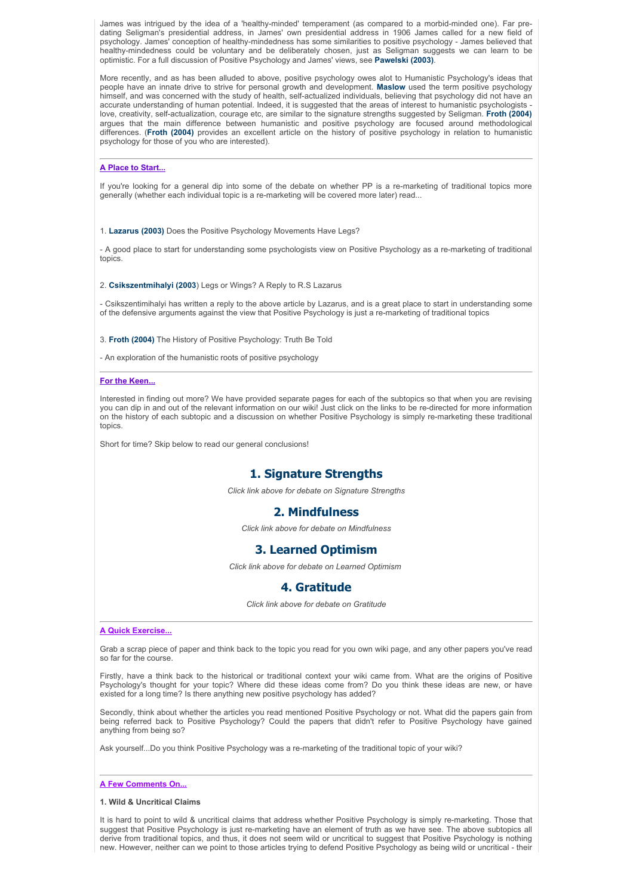James was intrigued by the idea of a 'healthy-minded' temperament (as compared to a morbid-minded one). Far predating Seligman's presidential address, in James' own presidential address in 1906 James called for a new field of psychology. James' conception of healthy-mindedness has some similarities to positive psychology - James believed that healthy-mindedness could be voluntary and be deliberately chosen, just as Seligman suggests we can learn to be optimistic. For a full discussion of Positive Psychology and James' views, see **Pawelski (2003)**.

More recently, and as has been alluded to above, positive psychology owes alot to Humanistic Psychology's ideas that people have an innate drive to strive for personal growth and development. **Maslow** used the term positive psychology himself, and was concerned with the study of health, self-actualized individuals, believing that psychology did not have an accurate understanding of human potential. Indeed, it is suggested that the areas of interest to humanistic psychologists love, creativity, self-actualization, courage etc, are similar to the signature strengths suggested by Seligman. **Froth (2004)** argues that the main difference between humanistic and positive psychology are focused around methodological differences. (**Froth (2004)** provides an excellent article on the history of positive psychology in relation to humanistic psychology for those of you who are interested).

## **A Place to Start...**

If you're looking for a general dip into some of the debate on whether PP is a re-marketing of traditional topics more generally (whether each individual topic is a re-marketing will be covered more later) read...

1. **Lazarus (2003)** Does the Positive Psychology Movements Have Legs?

- A good place to start for understanding some psychologists view on Positive Psychology as a re-marketing of traditional topics.

2. **Csikszentmihalyi (2003**) Legs or Wings? A Reply to R.S Lazarus

- Csikszentimihalyi has written a reply to the above article by Lazarus, and is a great place to start in understanding some of the defensive arguments against the view that Positive Psychology is just a re-marketing of traditional topics

3. **Froth (2004)** The History of Positive Psychology: Truth Be Told

- An exploration of the humanistic roots of positive psychology

### **For the Keen...**

Interested in finding out more? We have provided separate pages for each of the subtopics so that when you are revising you can dip in and out of the relevant information on our wiki! Just click on the links to be re-directed for more information on the history of each subtopic and a discussion on whether Positive Psychology is simply re-marketing these traditional topics.

Short for time? Skip below to read our general conclusions!

# **1. Signature Strengths**

*Click link above for debate on Signature Strengths*

# **2. Mindfulness**

*Click link above for debate on Mindfulness*

## **3. Learned Optimism**

*Click link above for debate on Learned Optimism* 

## **4. Gratitude**

*Click link above for debate on Gratitude*

### **A Quick Exercise...**

Grab a scrap piece of paper and think back to the topic you read for you own wiki page, and any other papers you've read so far for the course.

Firstly, have a think back to the historical or traditional context your wiki came from. What are the origins of Positive Psychology's thought for your topic? Where did these ideas come from? Do you think these ideas are new, or have existed for a long time? Is there anything new positive psychology has added?

Secondly, think about whether the articles you read mentioned Positive Psychology or not. What did the papers gain from being referred back to Positive Psychology? Could the papers that didn't refer to Positive Psychology have gained anything from being so?

Ask yourself...Do you think Positive Psychology was a re-marketing of the traditional topic of your wiki?

#### **A Few Comments On...**

**1. Wild & Uncritical Claims**

It is hard to point to wild & uncritical claims that address whether Positive Psychology is simply re-marketing. Those that suggest that Positive Psychology is just re-marketing have an element of truth as we have see. The above subtopics all derive from traditional topics, and thus, it does not seem wild or uncritical to suggest that Positive Psychology is nothing new. However, neither can we point to those articles trying to defend Positive Psychology as being wild or uncritical - their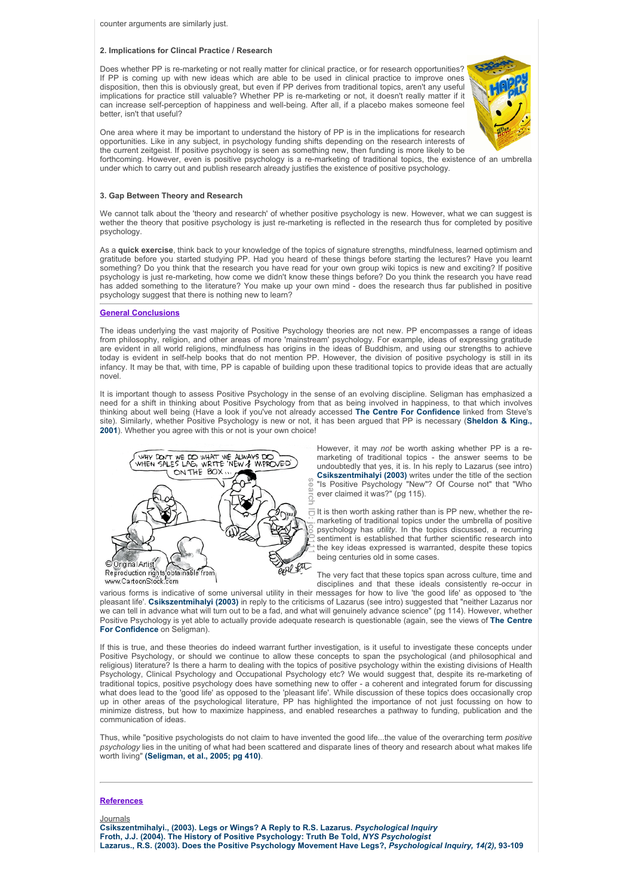counter arguments are similarly just.

### **2. Implications for Clincal Practice / Research**

Does whether PP is re-marketing or not really matter for clinical practice, or for research opportunities? If PP is coming up with new ideas which are able to be used in clinical practice to improve ones disposition, then this is obviously great, but even if PP derives from traditional topics, aren't any useful implications for practice still valuable? Whether PP is re-marketing or not, it doesn't really matter if it can increase self-perception of happiness and well-being. After all, if a placebo makes someone feel better, isn't that useful?

One area where it may be important to understand the history of PP is in the implications for research opportunities. Like in any subject, in psychology funding shifts depending on the research interests of the current zeitgeist. If positive psychology is seen as something new, then funding is more likely to be

forthcoming. However, even is positive psychology is a re-marketing of traditional topics, the existence of an umbrella under which to carry out and publish research already justifies the existence of positive psychology.

### **3. Gap Between Theory and Research**

We cannot talk about the 'theory and research' of whether positive psychology is new. However, what we can suggest is wether the theory that positive psychology is just re-marketing is reflected in the research thus for completed by positive psychology.

As a **quick exercise**, think back to your knowledge of the topics of signature strengths, mindfulness, learned optimism and gratitude before you started studying PP. Had you heard of these things before starting the lectures? Have you learnt something? Do you think that the research you have read for your own group wiki topics is new and exciting? If positive psychology is just re-marketing, how come we didn't know these things before? Do you think the research you have read has added something to the literature? You make up your own mind - does the research thus far published in positive psychology suggest that there is nothing new to learn?

### **General Conclusions**

The ideas underlying the vast majority of Positive Psychology theories are not new. PP encompasses a range of ideas from philosophy, religion, and other areas of more 'mainstream' psychology. For example, ideas of expressing gratitude are evident in all world religions, mindfulness has origins in the ideas of Buddhism, and using our strengths to achieve today is evident in self-help books that do not mention PP. However, the division of positive psychology is still in its infancy. It may be that, with time, PP is capable of building upon these traditional topics to provide ideas that are actually novel.

It is important though to assess Positive Psychology in the sense of an evolving discipline. Seligman has emphasized a need for a shift in thinking about Positive Psychology from that as being involved in happiness, to that which involves thinking about well being (Have a look if you've not already accessed **The Centre For Confidence** linked from Steve's site). Similarly, whether Positive Psychology is new or not, it has been argued that PP is necessary (**Sheldon & King., 2001**). Whether you agree with this or not is your own choice!



However, it may *not* be worth asking whether PP is a remarketing of traditional topics - the answer seems to be undoubtedly that yes, it is. In his reply to Lazarus (see intro) **Csikszentmihalyi (2003)** writes under the title of the section "Is Positive Psychology "New"? Of Course not" that "Who ever claimed it was?" (pg 115).

It is then worth asking rather than is PP new, whether the remarketing of traditional topics under the umbrella of positive psychology has *utility*. In the topics discussed, a recurring sentiment is established that further scientific research into the key ideas expressed is warranted, despite these topics being centuries old in some cases.

The very fact that these topics span across culture, time and disciplines and that these ideals consistently re-occur in

various forms is indicative of some universal utility in their messages for how to live 'the good life' as opposed to 'the pleasant life'. **Csikszentmihalyi (2003)** in reply to the criticisms of Lazarus (see intro) suggested that "neither Lazarus nor we can tell in advance what will turn out to be a fad, and what will genuinely advance science" (pg 114). However, whether Positive Psychology is yet able to actually provide adequate research is questionable (again, see the views of **The Centre For Confidence** on Seligman).

If this is true, and these theories do indeed warrant further investigation, is it useful to investigate these concepts under Positive Psychology, or should we continue to allow these concepts to span the psychological (and philosophical and religious) literature? Is there a harm to dealing with the topics of positive psychology within the existing divisions of Health Psychology, Clinical Psychology and Occupational Psychology etc? We would suggest that, despite its re-marketing of traditional topics, positive psychology does have something new to offer - a coherent and integrated forum for discussing what does lead to the 'good life' as opposed to the 'pleasant life'. While discussion of these topics does occasionally crop up in other areas of the psychological literature, PP has highlighted the importance of not just focussing on how to minimize distress, but how to maximize happiness, and enabled researches a pathway to funding, publication and the communication of ideas.

Thus, while "positive psychologists do not claim to have invented the good life...the value of the overarching term *positive psychology* lies in the uniting of what had been scattered and disparate lines of theory and research about what makes life worth living" **(Seligman, et al., 2005; pg 410)**.

## **References**

Journals

**Csikszentmihalyi., (2003). Legs or Wings? A Reply to R.S. Lazarus.** *Psychological Inquiry* **Froth, J.J. (2004). The History of Positive Psychology: Truth Be Told,** *NYS Psychologist* **Lazarus., R.S. (2003). Does the Positive Psychology Movement Have Legs?,** *Psychological Inquiry, 14(2),* **93-109**